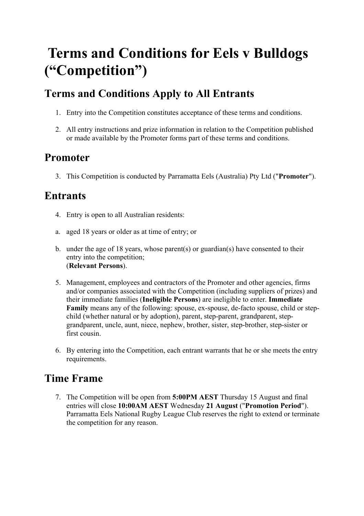# **Terms and Conditions for Eels v Bulldogs ("Competition")**

# **Terms and Conditions Apply to All Entrants**

- 1. Entry into the Competition constitutes acceptance of these terms and conditions.
- 2. All entry instructions and prize information in relation to the Competition published or made available by the Promoter forms part of these terms and conditions.

## **Promoter**

3. This Competition is conducted by Parramatta Eels (Australia) Pty Ltd ("**Promoter**").

## **Entrants**

- 4. Entry is open to all Australian residents:
- a. aged 18 years or older as at time of entry; or
- b. under the age of 18 years, whose parent(s) or guardian(s) have consented to their entry into the competition; (**Relevant Persons**).
- 5. Management, employees and contractors of the Promoter and other agencies, firms and/or companies associated with the Competition (including suppliers of prizes) and their immediate families (**Ineligible Persons**) are ineligible to enter. **Immediate Family** means any of the following: spouse, ex-spouse, de-facto spouse, child or stepchild (whether natural or by adoption), parent, step-parent, grandparent, stepgrandparent, uncle, aunt, niece, nephew, brother, sister, step-brother, step-sister or first cousin.
- 6. By entering into the Competition, each entrant warrants that he or she meets the entry requirements.

# **Time Frame**

7. The Competition will be open from **5:00PM AEST** Thursday 15 August and final entries will close **10:00AM AEST** Wednesday **21 August** ("**Promotion Period**"). Parramatta Eels National Rugby League Club reserves the right to extend or terminate the competition for any reason.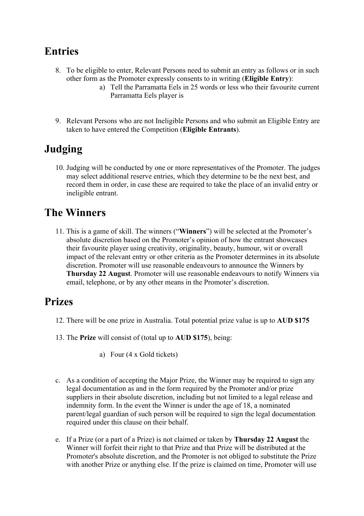#### **Entries**

- 8. To be eligible to enter, Relevant Persons need to submit an entry as follows or in such other form as the Promoter expressly consents to in writing (**Eligible Entry**):
	- a) Tell the Parramatta Eels in 25 words or less who their favourite current Parramatta Eels player is
- 9. Relevant Persons who are not Ineligible Persons and who submit an Eligible Entry are taken to have entered the Competition (**Eligible Entrants**).

# **Judging**

10. Judging will be conducted by one or more representatives of the Promoter. The judges may select additional reserve entries, which they determine to be the next best, and record them in order, in case these are required to take the place of an invalid entry or ineligible entrant.

## **The Winners**

11. This is a game of skill. The winners ("**Winners**") will be selected at the Promoter's absolute discretion based on the Promoter's opinion of how the entrant showcases their favourite player using creativity, originality, beauty, humour, wit or overall impact of the relevant entry or other criteria as the Promoter determines in its absolute discretion. Promoter will use reasonable endeavours to announce the Winners by **Thursday 22 August**. Promoter will use reasonable endeavours to notify Winners via email, telephone, or by any other means in the Promoter's discretion.

#### **Prizes**

- 12. There will be one prize in Australia. Total potential prize value is up to **AUD \$175**
- 13. The **Prize** will consist of (total up to **AUD \$175**), being:
	- a) Four (4 x Gold tickets)
- c. As a condition of accepting the Major Prize, the Winner may be required to sign any legal documentation as and in the form required by the Promoter and/or prize suppliers in their absolute discretion, including but not limited to a legal release and indemnity form. In the event the Winner is under the age of 18, a nominated parent/legal guardian of such person will be required to sign the legal documentation required under this clause on their behalf.
- e. If a Prize (or a part of a Prize) is not claimed or taken by **Thursday 22 August** the Winner will forfeit their right to that Prize and that Prize will be distributed at the Promoter's absolute discretion, and the Promoter is not obliged to substitute the Prize with another Prize or anything else. If the prize is claimed on time, Promoter will use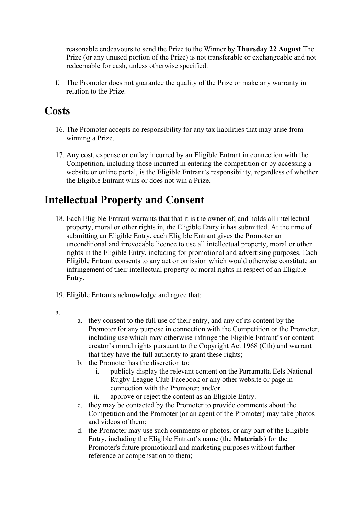reasonable endeavours to send the Prize to the Winner by **Thursday 22 August** The Prize (or any unused portion of the Prize) is not transferable or exchangeable and not redeemable for cash, unless otherwise specified.

f. The Promoter does not guarantee the quality of the Prize or make any warranty in relation to the Prize.

#### **Costs**

- 16. The Promoter accepts no responsibility for any tax liabilities that may arise from winning a Prize.
- 17. Any cost, expense or outlay incurred by an Eligible Entrant in connection with the Competition, including those incurred in entering the competition or by accessing a website or online portal, is the Eligible Entrant's responsibility, regardless of whether the Eligible Entrant wins or does not win a Prize.

## **Intellectual Property and Consent**

- 18. Each Eligible Entrant warrants that that it is the owner of, and holds all intellectual property, moral or other rights in, the Eligible Entry it has submitted. At the time of submitting an Eligible Entry, each Eligible Entrant gives the Promoter an unconditional and irrevocable licence to use all intellectual property, moral or other rights in the Eligible Entry, including for promotional and advertising purposes. Each Eligible Entrant consents to any act or omission which would otherwise constitute an infringement of their intellectual property or moral rights in respect of an Eligible Entry.
- 19. Eligible Entrants acknowledge and agree that:
- a.
- a. they consent to the full use of their entry, and any of its content by the Promoter for any purpose in connection with the Competition or the Promoter, including use which may otherwise infringe the Eligible Entrant's or content creator's moral rights pursuant to the Copyright Act 1968 (Cth) and warrant that they have the full authority to grant these rights;
- b. the Promoter has the discretion to:
	- i. publicly display the relevant content on the Parramatta Eels National Rugby League Club Facebook or any other website or page in connection with the Promoter; and/or
	- ii. approve or reject the content as an Eligible Entry.
- c. they may be contacted by the Promoter to provide comments about the Competition and the Promoter (or an agent of the Promoter) may take photos and videos of them;
- d. the Promoter may use such comments or photos, or any part of the Eligible Entry, including the Eligible Entrant's name (the **Materials**) for the Promoter's future promotional and marketing purposes without further reference or compensation to them;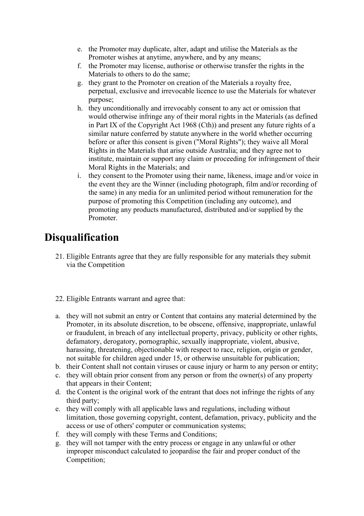- e. the Promoter may duplicate, alter, adapt and utilise the Materials as the Promoter wishes at anytime, anywhere, and by any means;
- f. the Promoter may license, authorise or otherwise transfer the rights in the Materials to others to do the same;
- g. they grant to the Promoter on creation of the Materials a royalty free, perpetual, exclusive and irrevocable licence to use the Materials for whatever purpose;
- h. they unconditionally and irrevocably consent to any act or omission that would otherwise infringe any of their moral rights in the Materials (as defined in Part IX of the Copyright Act 1968 (Cth)) and present any future rights of a similar nature conferred by statute anywhere in the world whether occurring before or after this consent is given ("Moral Rights"); they waive all Moral Rights in the Materials that arise outside Australia; and they agree not to institute, maintain or support any claim or proceeding for infringement of their Moral Rights in the Materials; and
- i. they consent to the Promoter using their name, likeness, image and/or voice in the event they are the Winner (including photograph, film and/or recording of the same) in any media for an unlimited period without remuneration for the purpose of promoting this Competition (including any outcome), and promoting any products manufactured, distributed and/or supplied by the Promoter.

#### **Disqualification**

- 21. Eligible Entrants agree that they are fully responsible for any materials they submit via the Competition
- 22. Eligible Entrants warrant and agree that:
- a. they will not submit an entry or Content that contains any material determined by the Promoter, in its absolute discretion, to be obscene, offensive, inappropriate, unlawful or fraudulent, in breach of any intellectual property, privacy, publicity or other rights, defamatory, derogatory, pornographic, sexually inappropriate, violent, abusive, harassing, threatening, objectionable with respect to race, religion, origin or gender, not suitable for children aged under 15, or otherwise unsuitable for publication;
- b. their Content shall not contain viruses or cause injury or harm to any person or entity;
- c. they will obtain prior consent from any person or from the owner(s) of any property that appears in their Content;
- d. the Content is the original work of the entrant that does not infringe the rights of any third party;
- e. they will comply with all applicable laws and regulations, including without limitation, those governing copyright, content, defamation, privacy, publicity and the access or use of others' computer or communication systems;
- f. they will comply with these Terms and Conditions;
- g. they will not tamper with the entry process or engage in any unlawful or other improper misconduct calculated to jeopardise the fair and proper conduct of the Competition;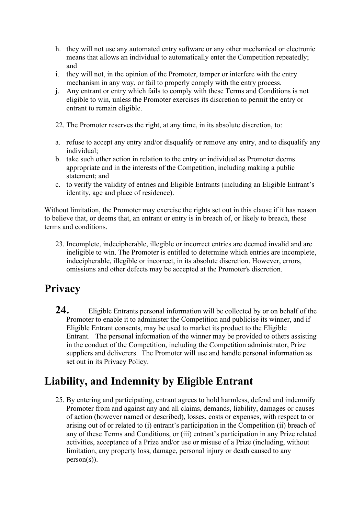- h. they will not use any automated entry software or any other mechanical or electronic means that allows an individual to automatically enter the Competition repeatedly; and
- i. they will not, in the opinion of the Promoter, tamper or interfere with the entry mechanism in any way, or fail to properly comply with the entry process.
- j. Any entrant or entry which fails to comply with these Terms and Conditions is not eligible to win, unless the Promoter exercises its discretion to permit the entry or entrant to remain eligible.
- 22. The Promoter reserves the right, at any time, in its absolute discretion, to:
- a. refuse to accept any entry and/or disqualify or remove any entry, and to disqualify any individual;
- b. take such other action in relation to the entry or individual as Promoter deems appropriate and in the interests of the Competition, including making a public statement; and
- c. to verify the validity of entries and Eligible Entrants (including an Eligible Entrant's identity, age and place of residence).

Without limitation, the Promoter may exercise the rights set out in this clause if it has reason to believe that, or deems that, an entrant or entry is in breach of, or likely to breach, these terms and conditions.

23. Incomplete, indecipherable, illegible or incorrect entries are deemed invalid and are ineligible to win. The Promoter is entitled to determine which entries are incomplete, indecipherable, illegible or incorrect, in its absolute discretion. However, errors, omissions and other defects may be accepted at the Promoter's discretion.

#### **Privacy**

**24.** Eligible Entrants personal information will be collected by or on behalf of the Promoter to enable it to administer the Competition and publicise its winner, and if Eligible Entrant consents, may be used to market its product to the Eligible Entrant. The personal information of the winner may be provided to others assisting in the conduct of the Competition, including the Competition administrator, Prize suppliers and deliverers. The Promoter will use and handle personal information as set out in its Privacy Policy.

#### **Liability, and Indemnity by Eligible Entrant**

25. By entering and participating, entrant agrees to hold harmless, defend and indemnify Promoter from and against any and all claims, demands, liability, damages or causes of action (however named or described), losses, costs or expenses, with respect to or arising out of or related to (i) entrant's participation in the Competition (ii) breach of any of these Terms and Conditions, or (iii) entrant's participation in any Prize related activities, acceptance of a Prize and/or use or misuse of a Prize (including, without limitation, any property loss, damage, personal injury or death caused to any  $person(s)$ ).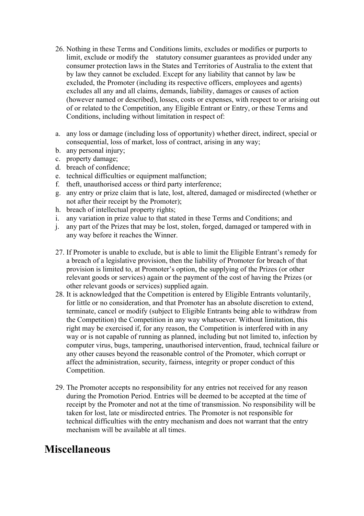- 26. Nothing in these Terms and Conditions limits, excludes or modifies or purports to limit, exclude or modify the statutory consumer guarantees as provided under any consumer protection laws in the States and Territories of Australia to the extent that by law they cannot be excluded. Except for any liability that cannot by law be excluded, the Promoter (including its respective officers, employees and agents) excludes all any and all claims, demands, liability, damages or causes of action (however named or described), losses, costs or expenses, with respect to or arising out of or related to the Competition, any Eligible Entrant or Entry, or these Terms and Conditions, including without limitation in respect of:
- a. any loss or damage (including loss of opportunity) whether direct, indirect, special or consequential, loss of market, loss of contract, arising in any way;
- b. any personal injury;
- c. property damage;
- d. breach of confidence;
- e. technical difficulties or equipment malfunction;
- f. theft, unauthorised access or third party interference;
- g. any entry or prize claim that is late, lost, altered, damaged or misdirected (whether or not after their receipt by the Promoter);
- h. breach of intellectual property rights;
- i. any variation in prize value to that stated in these Terms and Conditions; and
- j. any part of the Prizes that may be lost, stolen, forged, damaged or tampered with in any way before it reaches the Winner.
- 27. If Promoter is unable to exclude, but is able to limit the Eligible Entrant's remedy for a breach of a legislative provision, then the liability of Promoter for breach of that provision is limited to, at Promoter's option, the supplying of the Prizes (or other relevant goods or services) again or the payment of the cost of having the Prizes (or other relevant goods or services) supplied again.
- 28. It is acknowledged that the Competition is entered by Eligible Entrants voluntarily, for little or no consideration, and that Promoter has an absolute discretion to extend, terminate, cancel or modify (subject to Eligible Entrants being able to withdraw from the Competition) the Competition in any way whatsoever. Without limitation, this right may be exercised if, for any reason, the Competition is interfered with in any way or is not capable of running as planned, including but not limited to, infection by computer virus, bugs, tampering, unauthorised intervention, fraud, technical failure or any other causes beyond the reasonable control of the Promoter, which corrupt or affect the administration, security, fairness, integrity or proper conduct of this Competition.
- 29. The Promoter accepts no responsibility for any entries not received for any reason during the Promotion Period. Entries will be deemed to be accepted at the time of receipt by the Promoter and not at the time of transmission. No responsibility will be taken for lost, late or misdirected entries. The Promoter is not responsible for technical difficulties with the entry mechanism and does not warrant that the entry mechanism will be available at all times.

#### **Miscellaneous**